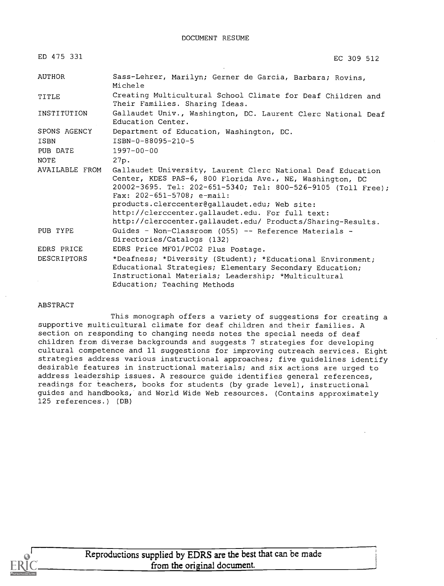| ED 475 331         | EC 309 512                                                                                                                                                                                                                                                                                                                                                                                        |
|--------------------|---------------------------------------------------------------------------------------------------------------------------------------------------------------------------------------------------------------------------------------------------------------------------------------------------------------------------------------------------------------------------------------------------|
| AUTHOR             | Sass-Lehrer, Marilyn; Gerner de Garcia, Barbara; Rovins,<br>Michele                                                                                                                                                                                                                                                                                                                               |
| TITLE              | Creating Multicultural School Climate for Deaf Children and<br>Their Families. Sharing Ideas.                                                                                                                                                                                                                                                                                                     |
| INSTITUTION        | Gallaudet Univ., Washington, DC. Laurent Clerc National Deaf<br>Education Center.                                                                                                                                                                                                                                                                                                                 |
| SPONS AGENCY       | Department of Education, Washington, DC.                                                                                                                                                                                                                                                                                                                                                          |
| ISBN               | ISBN-0-88095-210-5                                                                                                                                                                                                                                                                                                                                                                                |
| PUB DATE           | $1997 - 00 - 00$                                                                                                                                                                                                                                                                                                                                                                                  |
| NOTE               | 27p.                                                                                                                                                                                                                                                                                                                                                                                              |
| AVAILABLE FROM     | Gallaudet University, Laurent Clerc National Deaf Education<br>Center, KDES PAS-6, 800 Florida Ave., NE, Washington, DC<br>20002-3695. Tel: 202-651-5340; Tel: 800-526-9105 (Toll Free);<br>Fax: $202 - 651 - 5708$ ; e-mail:<br>products.clerccenter@gallaudet.edu; Web site:<br>http://clerccenter.gallaudet.edu. For full text:<br>http://clerccenter.gallaudet.edu/ Products/Sharing-Results. |
| PUB TYPE           | Guides - Non-Classroom (055) -- Reference Materials -<br>Directories/Catalogs (132)                                                                                                                                                                                                                                                                                                               |
| EDRS PRICE         | EDRS Price MF01/PC02 Plus Postage.                                                                                                                                                                                                                                                                                                                                                                |
| <b>DESCRIPTORS</b> | *Deafness; *Diversity (Student); *Educational Environment;<br>Educational Strategies; Elementary Secondary Education;<br>Instructional Materials; Leadership; *Multicultural<br>Education; Teaching Methods                                                                                                                                                                                       |

#### ABSTRACT

This monograph offers a variety of suggestions for creating a supportive multicultural climate for deaf children and their families. A section on responding to changing needs notes the special needs of deaf children from diverse backgrounds and suggests 7 strategies for developing cultural competence and 11 suggestions for improving outreach services. Eight strategies address various instructional approaches; five guidelines identify desirable features in instructional materials; and six actions are urged to address leadership issues. A resource guide identifies general references, readings for teachers, books for students (by grade level), instructional guides and handbooks, and World Wide Web resources. (Contains approximately 125 references.) (DB)

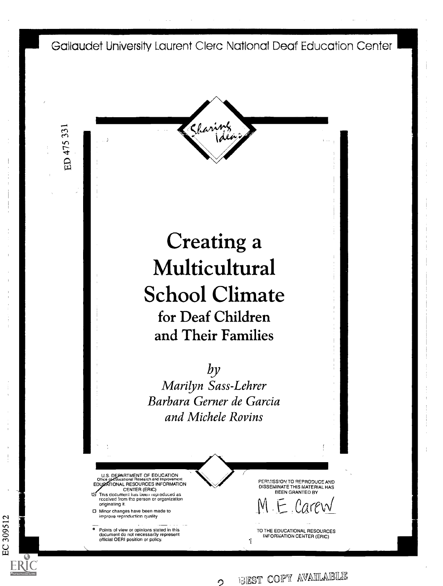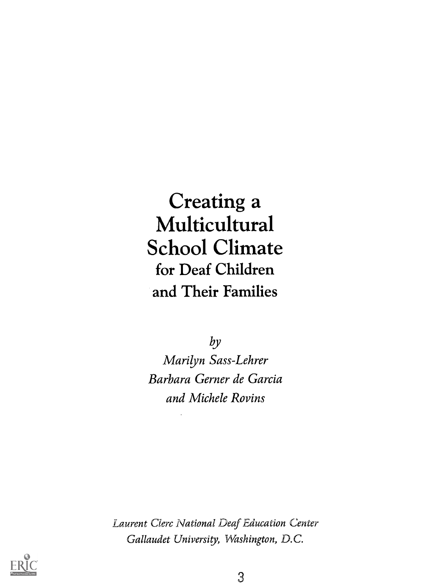# Creating a Multicultural School Climate for Deaf Children and Their Families

by Marilyn Sass-Lehrer Barbara Gerner de Garcia and Michele Rovins

Laurent Clerc National Deaf Education Center Gallaudet University, Washington, D.C.

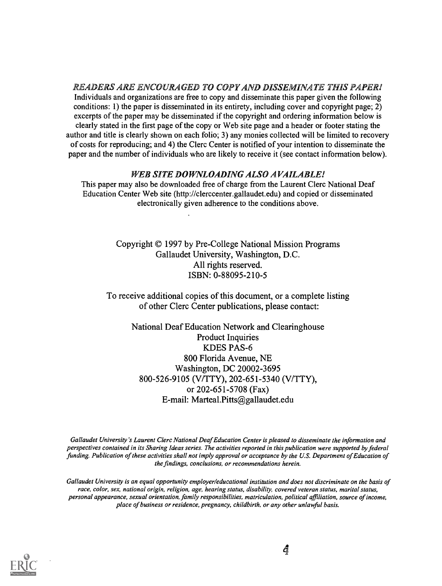READERS ARE ENCOURAGED TO COPY AND DISSEMINATE THIS PAPER! Individuals and organizations are free to copy and disseminate this paper given the following conditions: 1) the paper is disseminated in its entirety, including cover and copyright page; 2) excerpts of the paper may be disseminated if the copyright and ordering information below is clearly stated in the first page of the copy or Web site page and a header or footer stating the author and title is clearly shown on each folio; 3) any monies collected will be limited to recovery of costs for reproducing; and 4) the Clerc Center is notified of your intention to disseminate the paper and the number of individuals who are likely to receive it (see contact information below).

#### WEB SITE DOWNLOADING ALSO AVAILABLE!

This paper may also be downloaded free of charge from the Laurent Clerc National Deaf Education Center Web site (http://clerccenter.gallaudet.edu) and copied or disseminated electronically given adherence to the conditions above.

> Copyright © 1997 by Pre-College National Mission Programs Gallaudet University, Washington, D.C. All rights reserved. ISBN: 0-88095-210-5

To receive additional copies of this document, or a complete listing of other Clerc Center publications, please contact:

> National Deaf Education Network and Clearinghouse Product Inquiries KDES PAS-6 800 Florida Avenue, NE Washington, DC 20002-3695 800-526-9105 (V/TTY), 202-651-5340 (V/TTY), or 202-651-5708 (Fax) E-mail: Marteal.Pitts@gallaudet.edu

Gallaudet University's Laurent Clerc National Deaf Education Center is pleased to disseminate the information and perspectives contained in its Sharing Ideas series. The activities reported in this publication were supported by federal funding. Publication of these activities shall not imply approval or acceptance by the U.S. Department of Education of the findings, conclusions, or recommendations herein.

Gallaudet University is an equal opportunity employer/educational institution and does not discriminate on the basis of race, color, sex, national origin, religion, age, hearing status, disability, covered veteran status, marital status, personal appearance, sexual orientation, family responsibilities, matriculation, political affiliation, source of income, place of business or residence, pregnancy, childbirth, or any other unlawful basis.

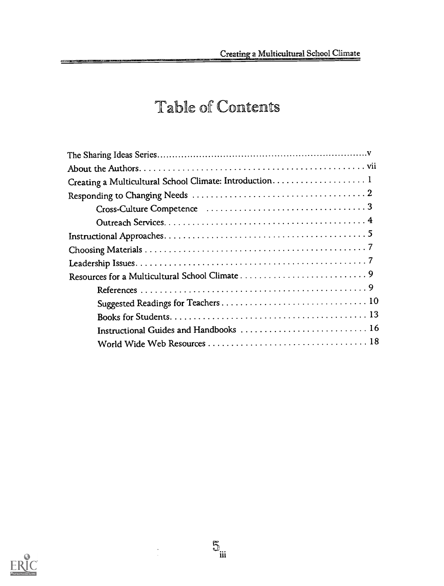# Table of Contents

| Creating a Multicultural School Climate: Introduction 1 |
|---------------------------------------------------------|
|                                                         |
|                                                         |
|                                                         |
|                                                         |
|                                                         |
|                                                         |
|                                                         |
|                                                         |
|                                                         |
|                                                         |
|                                                         |
|                                                         |
|                                                         |



<u>et as a studente</u>

 $\mathbb{S}_{\text{iii}}$ 

 $\frac{1}{2}$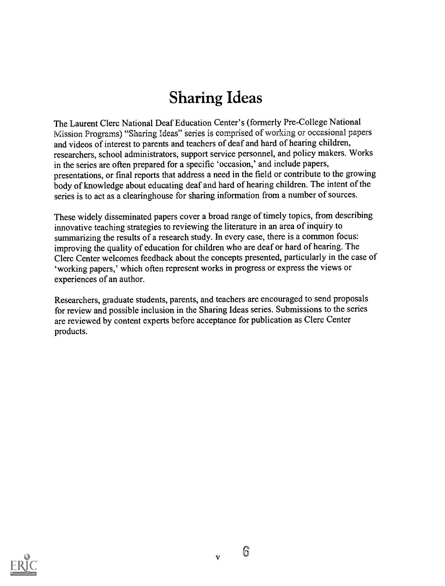# Sharing Ideas

The Laurent Clerc National Deaf Education Center's (formerly Pre-College National Mission Programs) "Sharing Ideas" series is comprised of working or occasional papers and videos of interest to parents and teachers of deaf and hard of hearing children, researchers, school administrators, support service personnel, and policy makers. Works in the series are often prepared for a specific 'occasion,' and include papers, presentations, or final reports that address a need in the field or contribute to the growing body of knowledge about educating deaf and hard of hearing children. The intent of the series is to act as a clearinghouse for sharing information from a number of sources.

These widely disseminated papers cover a broad range of timely topics, from describing innovative teaching strategies to reviewing the literature in an area of inquiry to summarizing the results of a research study. In every case, there is a common focus: improving the quality of education for children who are deaf or hard of hearing. The Clerc Center welcomes feedback about the concepts presented, particularly in the case of `working papers,' which often represent works in progress or express the views or experiences of an author.

Researchers, graduate students, parents, and teachers are encouraged to send proposals for review and possible inclusion in the Sharing Ideas series. Submissions to the series are reviewed by content experts before acceptance for publication as Clerc Center products.



 $\mathbf{v}$ 

6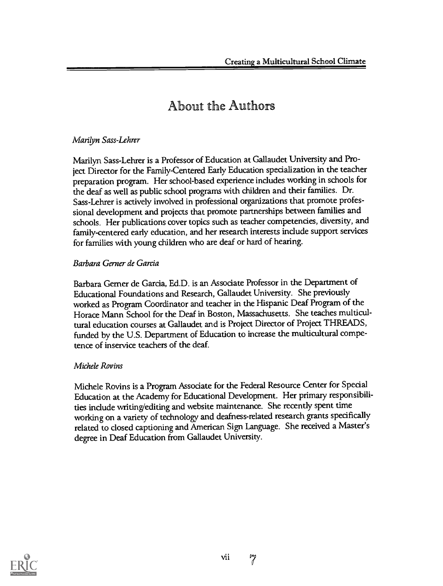### About the Authors

### Marilyn Sass-Lehrer

Marilyn Sass-Lehrer is a Professor of Education at Gallaudet University and Project Director for the Family-Centered Early Education specialization in the teacher preparation program. Her school-based experience includes working in schools for the deaf as well as public school programs with children and their families. Dr. Sass-Lehrer is actively involved in professional organizations that promote professional development and projects that promote partnerships between families and schools. Her publications cover topics such as teacher competencies, diversity, and family-centered early education, and her research interests include support services for families with young children who are deaf or hard of hearing.

### Barbara Gerner de Garcia

Barbara Gemer de Garcia, Ed.D. is an Associate Professor in the Department of Educational Foundations and Research, Gallaudet University. She previously worked as Program Coordinator and teacher in the Hispanic Deaf Program of the Horace Mann School for the Deaf in Boston, Massachusetts. She teaches multicultural education courses at Gallaudet and is Project Director of Project THREADS, funded by the U.S. Department of Education to increase the multicultural competence of inservice teachers of the deaf.

### Michele Rovins

Michele Rovins is a Program Associate for the Federal Resource Center for Special Education at the Academy for Educational Development. Her primary responsibilities include writing/editing and website maintenance. She recently spent time working on a variety of technology and deafness-related research grants specifically related to closed captioning and American Sign Language. She received a Master's degree in Deaf Education from Gallaudet University.

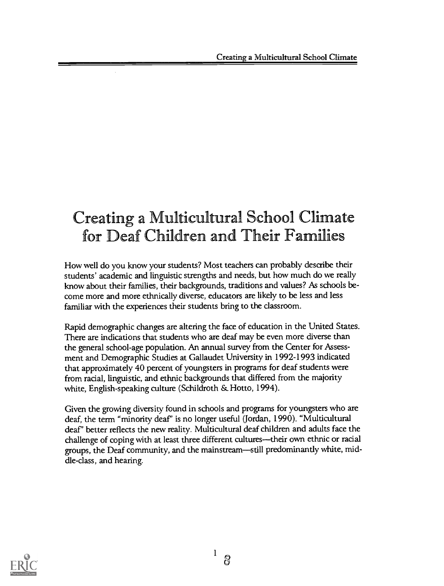## Creating a Multicultural School Climate for Deaf Children and Their Families

How well do you know your students? Most teachers can probably describe their students' academic and linguistic strengths and needs, but how much do we really know about their families, their backgrounds, traditions and values? As schools become more and more ethnically diverse, educators are likely to be less and less familiar with the experiences their students bring to the classroom.

Rapid demographic changes are altering the face of education in the United States. There are indications that students who are deaf may be even more diverse than the general school-age population. An annual survey from the Center for Assessment and Demographic Studies at Gallaudet University in 1992-1993 indicated that approximately 40 percent of youngsters in programs for deaf students were from racial, linguistic, and ethnic backgrounds that differed from the majority white, English-speaking culture (Schildroth & Hotto, 1994).

Given the growing diversity found in schools and programs for youngsters who are deaf, the term "minority deaf" is no longer useful (Jordan, 1990). "Multicultural deaf' better reflects the new reality. Multicultural deaf children and adults face the challenge of coping with at least three different cultures—their own ethnic or racial groups, the Deaf community, and the mainstream—still predominantly white, middle-class, and hearing.

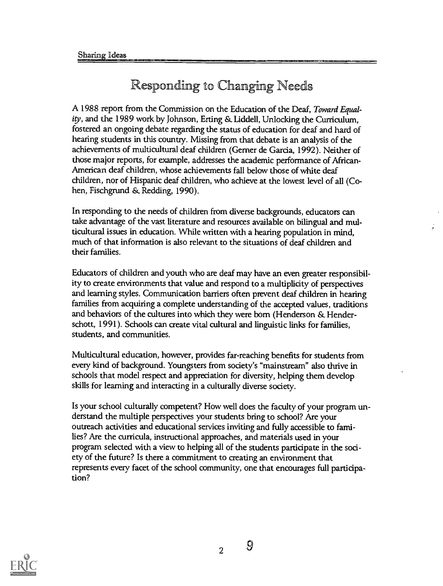## Responding to Changing Needs

A 1988 report from the Commission on the Education of the Deaf, Toward Equality, and the 1989 work by Johnson, Erting & Liddell, Unlocking the Curriculum, fostered an ongoing debate regarding the status of education for deaf and hard of hearing students in this country. Missing from that debate is an analysis of the achievements of multicultural deaf children (Gemer de Garcia, 1992). Neither of those major reports, for example, addresses the academic performance of African-American deaf children, whose achievements fall below those of white deaf children, nor of Hispanic deaf children, who achieve at the lowest level of all (Cohen, Fischgrund & Redding, 1990).

In responding to the needs of children from diverse backgrounds, educators can take advantage of the vast literature and resources available on bilingual and multicultural issues in education. While written with a hearing population in mind, much of that information is also relevant to the situations of deaf children and their families.

Educators of children and youth who are deaf may have an even greater responsibility to create environments that value and respond to a multiplicity of perspectives and learning styles. Communication barriers often prevent deaf children in hearing families from acquiring a complete understanding of the accepted values, traditions and behaviors of the cultures into which they were born (Henderson & Henderschott, 1991). Schools can create vital cultural and linguistic links for families, students, and communities.

Multicultural education, however, provides far-reaching benefits for students from every kind of background. Youngsters from society's "mainstream" also thrive in schools that model respect and appreciation for diversity, helping them develop skills for learning and interacting in a culturally diverse society.

Is your school culturally competent? How well does the faculty of your program understand the multiple perspectives your students bring to school? Are your outreach activities and educational services inviting and fully accessible to families? Are the curricula, instructional approaches, and materials used in your program selected with a view to helping all of the students participate in the society of the future? Is there a commitment to creating an environment that represents every facet of the school community, one that encourages full participation?



<sup>2</sup> 9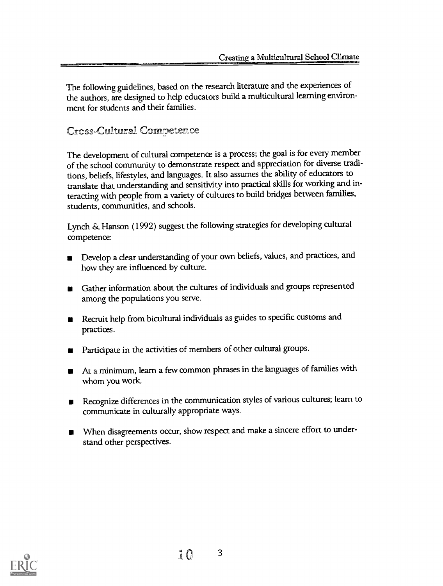The following guidelines, based on the research literature and the experiences of the authors, are designed to help educators build a multicultural learning environment for students and their families.

### Cross-Culltural Competence

The development of cultural competence is a process; the goal is for every member of the school community to demonstrate respect and appreciation for diverse traditions, beliefs, lifestyles, and languages. It also assumes the ability of educators to translate that understanding and sensitivity into practical skills for working and interacting with people from a variety of cultures to build bridges between families, students, communities, and schools.

Lynch & Hanson (1992) suggest the following strategies for developing cultural competence:

- Develop a clear understanding of your own beliefs, values, and practices, and how they are influenced by culture.
- Gather information about the cultures of individuals and groups represented among the populations you serve.
- Recruit help from bicultural individuals as guides to specific customs and practices.
- Participate in the activities of members of other cultural groups.
- At a minimum, learn a few common phrases in the languages of families with whom you work.
- Recognize differences in the communication styles of various cultures; learn to communicate in culturally appropriate ways.
- When disagreements occur, show respect and make a sincere effort to understand other perspectives.

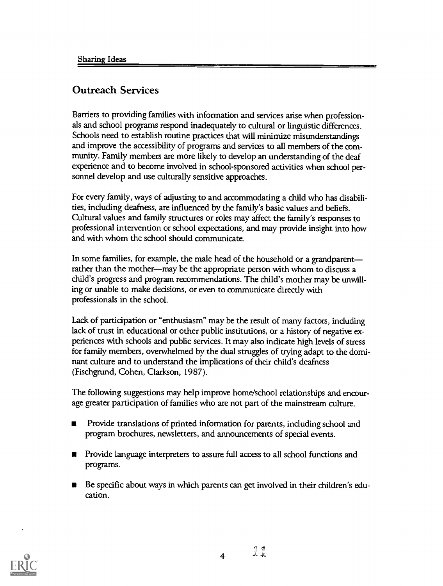### Outreach Services

Barriers to providing families with information and services arise when professionals and school programs respond inadequately to cultural or linguistic differences. Schools need to establish routine practices that will minimize misunderstandings and improve the accessibility of programs and services to all members of the community. Family members are more likely to develop an understanding of the deaf experience and to become involved in school-sponsored activities when school personnel develop and use culturally sensitive approaches.

For every family, ways of adjusting to and accommodating a child who has disabilities, including deafness, are influenced by the family's basic values and beliefs. Cultural values and family structures or roles may affect the family's responses to professional intervention or school expectations, and may provide insight into how and with whom the school should communicate.

In some families, for example, the male head of the household or a grandparent rather than the mother-may be the appropriate person with whom to discuss a child's progress and program recommendations. The child's mother may be unwilling or unable to make decisions, or even to communicate directly with professionals in the school.

Lack of participation or "enthusiasm" may be the result of many factors, including lack of trust in educational or other public institutions, or a history of negative experiences with schools and public services. It may also indicate high levels of stress for family members, overwhelmed by the dual struggles of trying adapt to the dominant culture and to understand the implications of their child's deafness (Fischgrund, Cohen, Clarkson, 1987).

The following suggestions may help improve home/school relationships and encourage greater participation of families who are not part of the mainstream culture.

- Provide translations of printed information for parents, including school and  $\blacksquare$ program brochures, newsletters, and announcements of special events.
- Provide language interpreters to assure full access to all school functions and  $\blacksquare$ programs.
- Be specific about ways in which parents can get involved in their children's edu-■ cation.

4

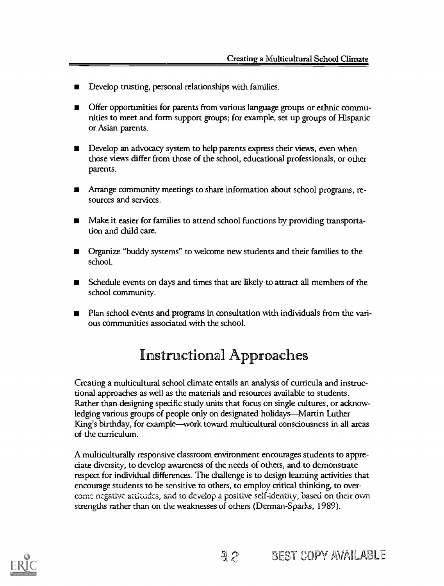- Develop trusting, personal relationships with families.
- Offer opportunities for parents from various language groups or ethnic communities to meet and form support groups; for example, set up groups of Hispanic or Asian parents.
- Develop an advocacy system to help parents express their views, even when those views differ from those of the school, educational professionals, or other parents.
- Arrange community meetings to share information about school programs, resources and services.
- Make it easier for families to attend school functions by providing transportation and child care.
- Organize "buddy systems" to welcome new students and their families to the school.
- Schedule events on days and times that are likely to attract all members of the school community.
- Plan school events and programs in consultation with individuals from the vari-П ous communities associated with the school.

## Instructional Approaches

Creating a multicultural school climate entails an analysis of curricula and instructional approaches as well as the materials and resources available to students. Rather than designing specific study units that focus on single cultures, or acknowledging various groups of people only on designated holidays—Martin Luther King's birthday, for example—work toward multicultural consciousness in all areas of the curriculum.

A multiculturally responsive classroom environment encourages students to appreciate diversity, to develop awareness of the needs of others, and to demonstrate respect for individual differences. The challenge is to design learning activities that encourage students to be sensitive to others, to employ critical thinking, to over come negative attitudes, and to develop a positive self-identity, based on their own strengths rather than on the weaknesses of others (Derman-Sparks, 1989).

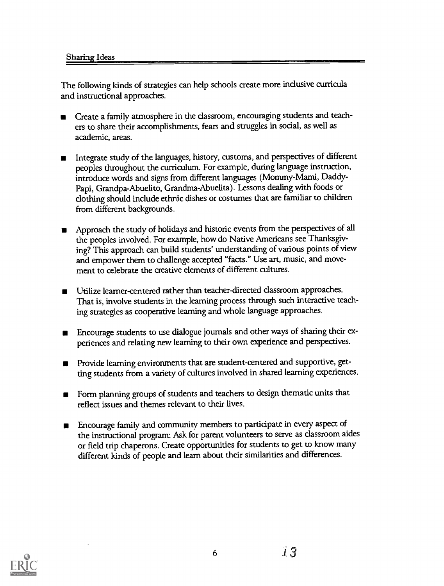#### Sharing Ideas

The following kinds of strategies can help schools create more inclusive curricula and instructional approaches.

- Create a family atmosphere in the classroom, encouraging students and teachers to share their accomplishments, fears and struggles in social, as well as academic, areas.
- Integrate study of the languages, history, customs, and perspectives of different peoples throughout the curriculum. For example, during language instruction, introduce words and signs from different languages (Mommy-Mami, Daddy-Papi, Grandpa-Abuelito, Grandma-Abuelita). Lessons dealing with foods or clothing should include ethnic dishes or costumes that are familiar to children from different backgrounds.
- Approach the study of holidays and historic events from the perspectives of all the peoples involved. For example, how do Native Americans see Thanksgiving? This approach can build students' understanding of various points of view and empower them to challenge accepted "facts." Use art, music, and movement to celebrate the creative elements of different cultures.
- Utilize learner-centered rather than teacher-directed classroom approaches. That is, involve students in the learning process through such interactive teaching strategies as cooperative learning and whole language approaches.
- Encourage students to use dialogue journals and other ways of sharing their experiences and relating new learning to their own experience and perspectives.
- Provide learning environments that are student-centered and supportive, getting students from a variety of cultures involved in shared learning experiences.
- Form planning groups of students and teachers to design thematic units that reflect issues and themes relevant to their lives.
- Encourage family and community members to participate in every aspect of the instructional program: Ask for parent volunteers to serve as classroom aides or field trip chaperons. Create opportunities for students to get to know many different kinds of people and learn about their similarities and differences.

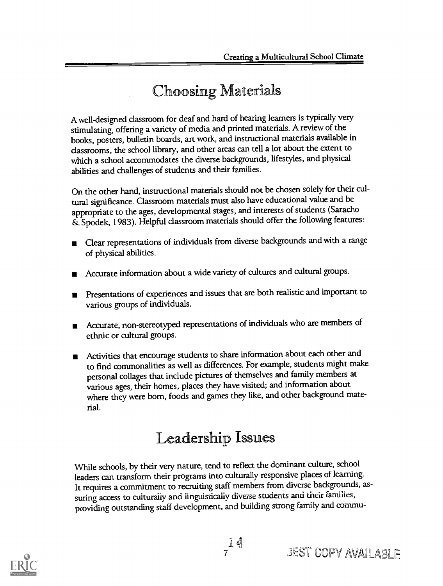## **Choosing Materials**

A well-designed classroom for deaf and hard of hearing learners is typically very stimulating, offering a variety of media and printed materials. A review of the books, posters, bulletin boards, art work, and instructional materials available in classrooms, the school library, and other areas can tell a lot about the extent to which a school accommodates the diverse backgrounds, lifestyles, and physical abilities and challenges of students and their families.

On the other hand, instructional materials should not be chosen solely for their cultural significance. Classroom materials must also have educational value and be appropriate to the ages, developmental stages, and interests of students (Saracho Spodek, 1983). Helpful classroom materials should offer the following features:

- Clear representations of individuals from diverse backgrounds and with a range of physical abilities.
- Accurate information about a wide variety of cultures and cultural groups.
- Presentations of experiences and issues that are both realistic and important to various groups of individuals.
- Accurate, non-stereotyped representations of individuals who are members of ethnic or cultural groups.
- Activities that encourage students to share information about each other and to find commonalities as well as differences. For example, students might make personal collages that include pictures of themselves and family members at various ages, their homes, places they have visited; and information about where they were born, foods and games they like, and other background material.

## Leadership Issues

While schools, by their very nature, tend to reflect the dominant culture, school leaders can transform their programs into culturally responsive places of learning. It requires a commitment to recruiting staff members from diverse backgrounds, assuring access to culturally and linguistically diverse students and their families, providing outstanding staff development, and building strong family and commu-

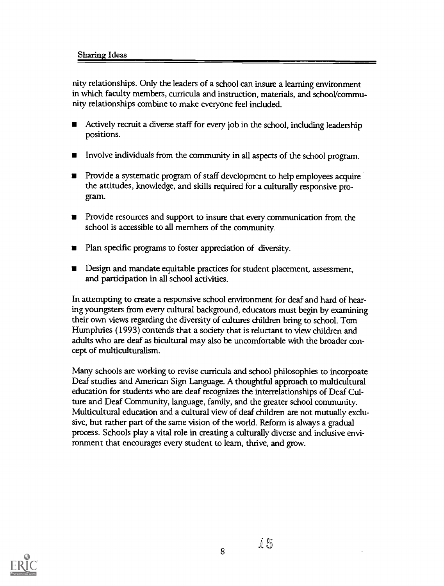nity relationships. Only the leaders of a school can insure a learning environment in which faculty members, curricula and instruction, materials, and school/community relationships combine to make everyone feel included.

- Actively recruit a diverse staff for every job in the school, including leadership г positions.
- Involve individuals from the community in all aspects of the school program.  $\blacksquare$
- Provide a systematic program of staff development to help employees acquire the attitudes, knowledge, and skills required for a culturally responsive program.
- Provide resources and support to insure that every communication from the school is accessible to all members of the community.
- Plan specific programs to foster appreciation of diversity.
- **Design and mandate equitable practices for student placement, assessment,** and participation in all school activities.

In attempting to create a responsive school environment for deaf and hard of hearing youngsters from every cultural background, educators must begin by examining their own views regarding the diversity of cultures children bring to school. Tom Humphries (1993) contends that a society that is reluctant to view children and adults who are deaf as bicultural may also be uncomfortable with the broader concept of multiculturalism.

Many schools are working to revise curricula and school philosophies to incorpoate Deaf studies and American Sign Language. A thoughtful approach to multicultural education for students who are deaf recognizes the interrelationships of Deaf Culture and Deaf Community, language, family, and the greater school community. Multicultural education and a cultural view of deaf children are not mutually exclusive, but rather part of the same vision of the world. Reform is always a gradual process. Schools play a vital role in creating a culturally diverse and inclusive environment that encourages every student to learn, thrive, and grow.



្រុ ភ្ល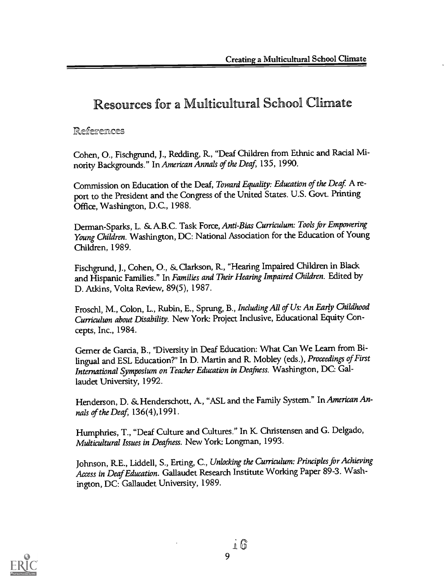### Resources for a Multicultural School Climate

#### **References**

Cohen, 0., Fischgrund, J., Redding, R, "Deaf Children from Ethnic and Racial Minority Backgrounds." In American Annals of the Deaf, 135, 1990.

Commission on Education of the Deaf, Toward Equality: Education of the Deaf. A report to the President and the Congress of the United States. U.S. Govt. Printing Office, Washington, D.C., 1988.

Derman-Sparks, L. & A.B.C. Task Force, Anti-Bias Curriculum: Tools for Empowering Young Children. Washington, DC: National Association for the Education of Young Children, 1989.

Fischgrund, J., Cohen, 0., & Clarkson, R, "Hearing Impaired Children in Black and Hispanic Families." In Families and Their Hearing Impaired Children. Edited by D. Atkins, Volta Review, 89(5), 1987.

Froschl, M., Colon, L., Rubin, E., Sprung, B., Including All of Us: An Early Childhood Curriculum about Disability. New York: Project Inclusive, Educational Equity Concepts, Inc., 1984.

Gemer de Garcia, B., "Diversity in Deaf Education: What Can We Learn from Bilingual and ESL Education?" In D. Martin and R. Mobley (eds.), Proceedings of First International Symposium on Teacher Education in Deafness. Washington, DC: Gallaudet University, 1992.

Henderson, D. & Henderschott, A., "ASL and the Family System." In American Annals of the Deaf, 136(4),1991.

Humphries, T., "Deaf Culture and Cultures." In K Christensen and G. Delgado, Multicultural Issues in Deafness. New York: Longman, 1993.

Johnson, RE., Liddell, S., Erting, C., Unlocking the Curriculum: Principles for Achieving Access in Deaf Education. Gallaudet Research Institute Working Paper 89-3. Washington, DC: Gallaudet University, 1989.



16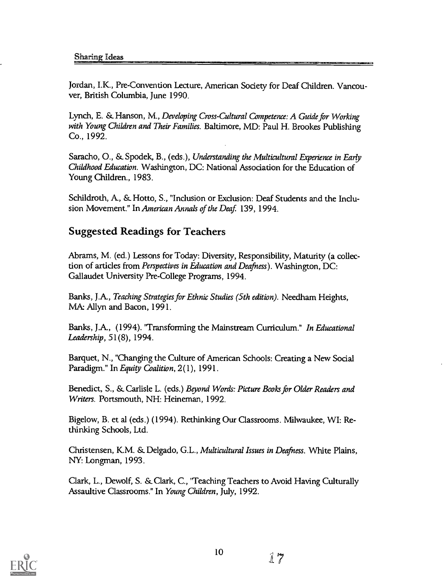Jordan, I.K., Pre-Convention Lecture, American Society for Deaf Children. Vancouver, British Columbia, June 1990.

Lynch, E. & Hanson, M., Developing Cross-Cultural Competence: A Guide for Working with Young Children and Their Families. Baltimore, MD: Paul H. Brookes Publishing Co., 1992.

Saracho, 0., & Spodek, B., (eds.), Understanding the Multicultural Experience in Early Childhood Education. Washington, DC: National Association for the Education of Young Children., 1983.

Schildroth, A., & Hotto, S., "Inclusion or Exclusion: Deaf Students and the Inclusion Movement." In American Annals of the Deaf. 139, 1994.

### Suggested Readings for Teachers

Abrams, M. (ed.) Lessons for Today: Diversity, Responsibility, Maturity (a collection of articles from Perspectives in Education and Deafness). Washington, DC: Gallaudet University Pre-College Programs, 1994.

Banks, J.A., Teaching Strategies for Ethnic Studies (5th edition). Needham Heights, MA: Allyn and Bacon, 1991.

Banks, JA, (1994). 'Transforming the Mainstream Curriculum." In Educational Leadership, 51(8), 1994.

Barquet, N., "Changing the Culture of American Schools: Creating a New Social Paradigm." In Equity Coalition, 2(1), 1991.

Benedict, S., & Carlisle L. (eds.) Beyond Words: Picture Books for Older Readers and Writers. Portsmouth, NH: Heineman, 1992.

Bigelow, B. et al (eds.) (1994). Rethinking Our Classrooms. Milwaukee, WI: Rethinking Schools, Ltd.

Christensen, KM. & Delgado, G.L., Multicultural Issues in Deafness. White Plains, NY: Longman, 1993.

Clark, L., Dewolf, S. & Clark, C., 'Teaching Teachers to Avoid Having Culturally Assaultive Classrooms." In Young Children, July, 1992.

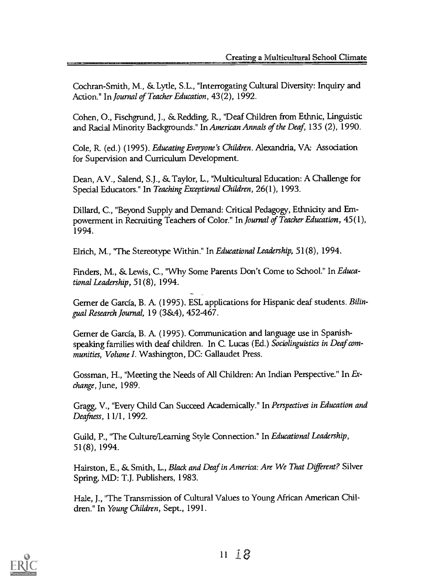Cochran-Smith, M., & Lytle, S.L., "Interrogating Cultural Diversity: Inquiry and Action." In Journal of Teacher Education, 43(2), 1992.

Cohen, O., Fischgrund, J., & Redding, R., "Deaf Children from Ethnic, Linguistic and Racial Minority Backgrounds." In American Annals of the Deaf, 135 (2), 1990.

Cole, R (ed.) (1995). Educating Everyone's Children. Alexandria, VA: Association for Supervision and Curriculum Development.

Dean, AV., Salend, S.J., &\_ Taylor, L., "Multicultural Education: A Challenge for Special Educators." In Teaching Exceptional Children, 26(1), 1993.

Dillard, C., "Beyond Supply and Demand: Critical Pedagogy, Ethnicity and Empowerment in Recruiting Teachers of Color." In Journal of Teacher Education, 45(1), 1994.

Elrich, M., 'The Stereotype Within." In Educational Leadership, 51(8), 1994.

Finders, M., & Lewis, C., "Why Some Parents Don't Come to School." In Educational Leadership, 51(8), 1994.

Gemer de Garcia, B. A (1995). ESL applications for Hispanic deaf students. Bilingual Research Journal, 19 (3&4), 452-467.

Gemer de Garcia, B. A (1995). Communication and language use in Spanishspeaking families with deaf children. In C. Lucas (Ed.) Sociolinguistics in Deaf communities, Volume I. Washington, DC: Gallaudet Press.

Gossman, H., "Meeting the Needs of All Children: An Indian Perspective." In Exchange, June, 1989.

Gragg, V., "Every Child Can Succeed Academically." In Perspectives in Education and Deafness, 11/1, 1992.

Guild, P., "The Culture/Learning Style Connection." In Educational Leadership, 51(8), 1994.

Hairston, E., & Smith, L., Black and Deaf in America: Are We That Different? Silver Spring, MD: T.J. Publishers, 1983.

Hale, J., "The Transmission of Cultural Values to Young African American Children." In Young Children, Sept., 1991.

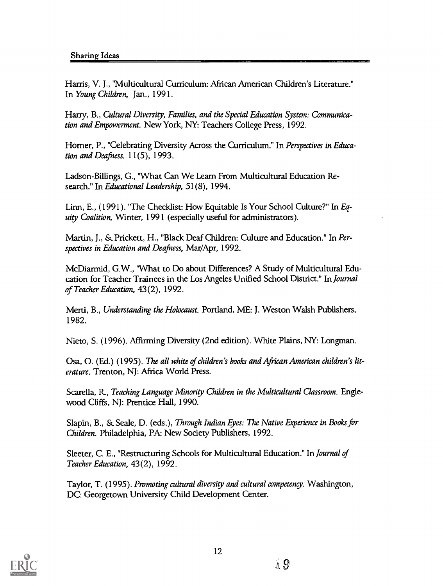Harris, V. J., "Multicultural Curriculum: African American Children's Literature." In Young Children, Jan., 1991.

Harry, B., Cultural Diversity, Families, and the Special Education System: Communication and Empowerment. New York, NY: Teachers College Press, 1992.

Homer, P., "Celebrating Diversity Across the Curriculum." In Perspectives in Education and Deafness. 11(5), 1993.

Ladson-Billings, G., "What Can We Learn From Multicultural Education Research." In Educational Leadership, 51(8), 1994.

Linn, E., (1991). 'The Checklist: How Equitable Is Your School Culture?" In Equity Coalition, Winter, 1991 (especially useful for administrators).

Martin, J., & Prickett, H., "Black Deaf Children: Culture and Education." In Perspectives in Education and Deafness, Mar/Apr, 1992.

McDiarmid, G.W., "What to Do about Differences? A Study of Multicultural Education for Teacher Trainees in the Los Angeles Unified School District." In Journal of Teacher Education, 43(2), 1992.

Merti, B., Understanding the Holocaust. Portland, ME: J. Weston Walsh Publishers, 1982.

Nieto, S. (1996). Affirming Diversity (2nd edition). White Plains, NY: Longman.

Osa, 0. (Ed.) (1995). The all white of children's hooks and African American children's literature. Trenton, NJ: Africa World Press.

Scarella, R., Teaching Language Minority Children in the Multicultural Classroom. Englewood Cliffs, NJ: Prentice Hall, 1990.

Slapin, B., & Seale, D. (eds.), Through Indian Eyes: The Native Experience in Books for Children. Philadelphia, PA: New Society Publishers, 1992.

Sleeter, C. E., "Restructuring Schools for Multicultural Education." In Journal of Teacher Education, 43(2), 1992.

Taylor, T. (1995). Promoting cultural diversity and cultural competency. Washington, DC: Georgetown University Child Development Center.

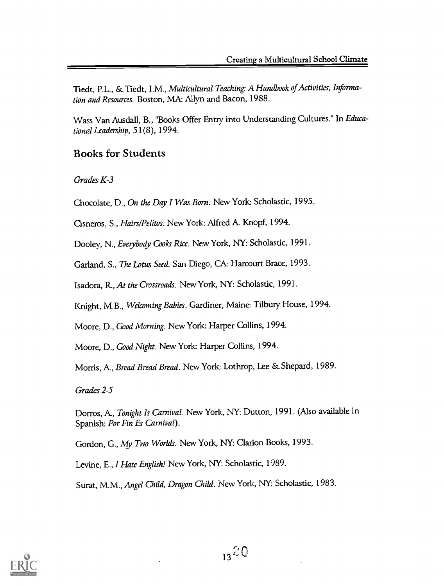Tiedt, P.L., & Tiedt, I.M., Multicultural Teaching: A Handbook of Activities, Information and Resources. Boston, MA: Allyn and Bacon, 1988.

Wass Van Ausdall, B., "Books Offer Entry into Understanding Cultures." In Educational Leadership, 51(8), 1994.

### Books for Students

Grades K-3

Chocolate, D., On the Day I Was Born. New York: Scholastic, 1995.

Cisneros, S., Hairs/Pelitos. New York: Alfred A. Knopf, 1994.

Dooley, N., Everybody Cooks Rice. New York, NY: Scholastic, 1991.

Garland, S., The Lotus Seed. San Diego, CA: Harcourt Brace, 1993.

Isadora, R, At the Crossroads. New York, NY: Scholastic, 1991.

Knight, M.B., Welcoming Babies. Gardiner, Maine: Tilbury House, 1994.

Moore, D., Good Morning. New York: Harper Collins, 1994.

Moore, D., Good Night. New York Harper Collins, 1994.

Morris, A., Bread Bread Bread. New York: Lothrop, Lee & Shepard, 1989.

Grades 2-5

Dorros, A., Tonight Is Carnival. New York, NY: Dutton, 1991. (Also available in Spanish: Por Fin Es Carnival).

Gordon, G., My Two Worlds. New York, NY: Clarion Books, 1993.

Levine, E., I Hate English! New York, NY: Scholastic, 1989.

Surat, M.M., Angel Child, Dragon Child. New York, NY: Scholastic, 1983.

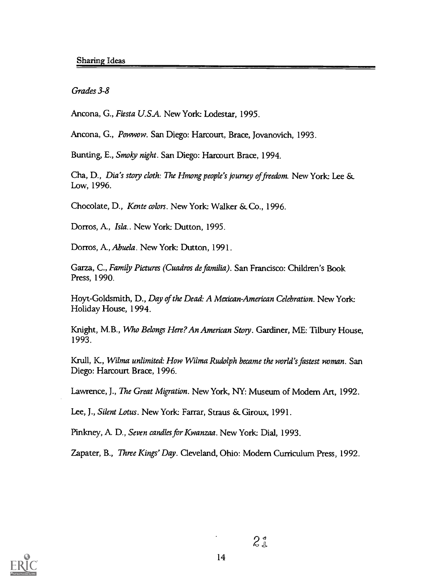Grades 3-8

Ancona, G., Fiesta U.S.A. New York: Lodestar, 1995.

Ancona, G., Powwow. San Diego: Harcourt, Brace, Jovanovich, 1993.

Bunting, E., Smoky night. San Diego: Harcourt Brace, 1994.

Cha, D., Dia's story cloth: The Hmong people's journey of freedom. New York: Lee & Low, 1996.

Chocolate, D., Kente colors. New York: Walker & Co., 1996.

Dorros, A, Isla.. New York: Dutton, 1995.

Dorros, A, Abuela. New York: Dutton, 1991.

Garza, C., Family Pictures (Cuadros de familia). San Francisco: Children's Book Press, 1990.

Hoyt-Goldsmith, D., Day of the Dead: A Mexican American Celebration. New York: Holiday House, 1994.

Knight, M.B., Who Belongs Here? An American Story. Gardiner, ME: Tilbury House, 1993.

Krull, K., Wilma unlimited: How Wilma Rudolph became the world's fastest woman. San Diego: Harcourt Brace, 1996.

Lawrence, J., The Great Migration. New York, NY: Museum of Modem Art, 1992.

Lee, J., Silent Lotus. New York: Farrar, Straus & Giroux, 1991.

Pinkney, A D., Seven candles for Kwanzaa. New York: Dial, 1993.

Zapater, B., Three Kings' Day. Cleveland, Ohio: Modem Curriculum Press, 1992.

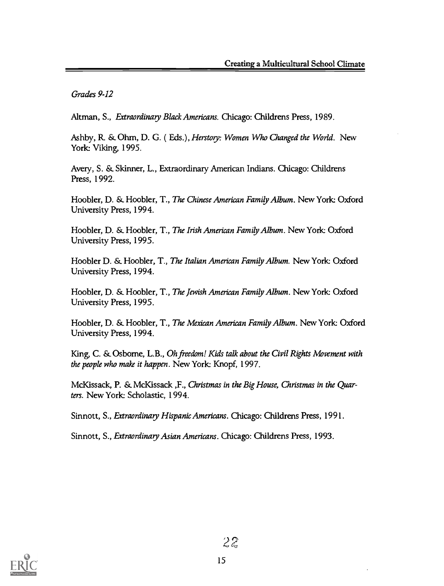Grades 9-12

Altman, S., Extraordinary Black Americans. Chicago: Childrens Press, 1989.

Ashby, R. & Ohm, D. G. (Eds.), Herstory: Women Who Changed the World. New York: Viking, 1995.

Avery, S. St Skinner, L., Extraordinary American Indians. Chicago: Childrens Press, 1992.

Hoobler, D. & Hoobler, T., The Chinese American Family Album. New York: Oxford University Press, 1994.

Hoobler, D. & Hoobler, T., The Irish American Family Album. New York: Oxford University Press, 1995.

Hoobler D. & Hoobler, T., The Italian American Family Album. New York: Oxford University Press, 1994.

Hoobler, D. & Hoobler, T., The Jewish American Family Album. New York: Oxford University Press, 1995.

Hoobler, D. & Hoobler, T., The Mexican American Family Album. New York: Oxford University Press, 1994.

King, C. & Osborne, L.B., Oh freedom! Kids talk about the Civil Rights Movement with the people who make it happen. New York: Knopf, 1997.

McKissack, P. & McKissack ,F., Christmas in the Big House, Christmas in the Quarters. New York: Scholastic, 1994.

Sinnott, S., Extraordinary Hispanic Americans. Chicago: Childrens Press, 1991.

Sinnott, S., Extraordinary Asian Americans. Chicago: Childrens Press, 1993.

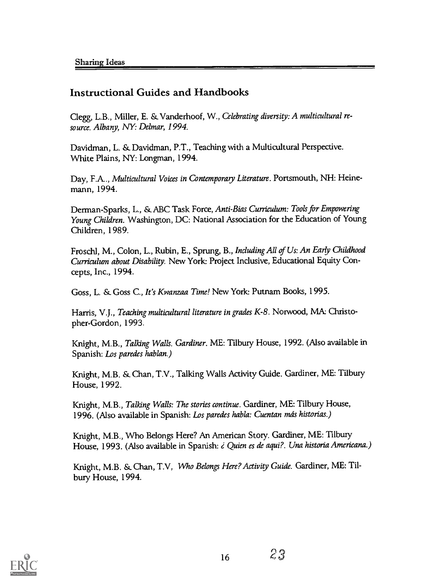### Instructional Guides and Handbooks

Clegg, L.B., Miller, E. & Vanderhoof, W., Celebrating diversity: A multicultural resource. Albany, NY: Delmar, 1994.

Davidman, L. & Davidman, P.T., Teaching with a Multicultural Perspective. White Plains, NY: Longman, 1994.

Day, F.A.., Multicultural Voices in Contemporary Literature. Portsmouth, NH: Heinemann, 1994.

Derman-Sparks, L., & ABC Task Force, Anti-Bias Curriculum: Tools for Empowering Young Children. Washington, DC: National Association for the Education of Young Children, 1989.

Froschl, M., Colon, L., Rubin, E., Sprung, B., Including All of Us: An Early Childhood Curriculum about Disability. New York: Project Inclusive, Educational Equity Concepts, Inc., 1994.

Goss, L. & Goss C., It's Kwanzaa Time! New York Putnam Books, 1995.

Harris, V.J., Teaching multicultural literature in grades K-8. Norwood, MA: Christopher-Gordon, 1993.

Knight, M.B., Talking Walls. Gardiner. ME: Tilbury House, 1992. (Also available in Spanish: Los paredes hablan.)

Knight, M.B. & Chan, T.V., Talking Walls Activity Guide. Gardiner, ME: Tilbury House, 1992.

Knight, M.B., Talking Walls: The stories continue. Gardiner, ME: Tilbury House, 1996. (Also available in Spanish: Los paredes habla: Cuentan más historias.)

Knight, M.B., Who Belongs Here? An American Story. Gardiner, ME: Tilbury House, 1993. (Also available in Spanish: ¿ Quien es de aqui?. Una historia Americana.)

Knight, M.B. & Chan, T.V, Who Belongs Here? Activity Guide. Gardiner, ME: Tilbury House, 1994.

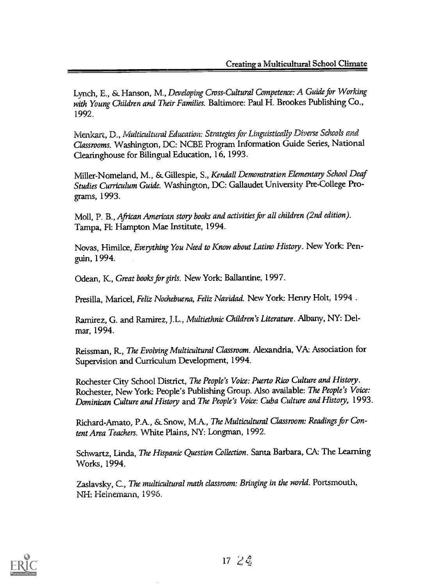Lynch, E., & Hanson, M., Developing Cross-Cultural Competence: A Guide for Working with Young Children and Their Families. Baltimore: Paul H. Brookes Publishing Co., 1992.

Menkart, D., Multicultural Education: Strategies for Linguistically Diverse Schools and Classrooms. Washington, DC: NCBE Program Information Guide Series, National Clearinghouse for Bilingual Education, 16, 1993.

Miller-Nomeland, M., & Gillespie, S., Kendall Demonstration Elementary School Deaf Studies Curriculum Guide. Washington, DC: Gallaudet University Pre-College Programs, 1993.

Moll, P. B., African American story books and activities for all children (2nd edition). Tampa, Fl: Hampton Mae Institute, 1994.

Novas, Himilce, Everything You Need to Know about Latino History. New York: Penguin, 1994.

Odean, K., Great books for girls. New York: Ballantine, 1997.

Presilla, Maricel, Feliz Nochebuena, Feliz Navidad. New York: Henry Holt, 1994.

Ramirez, G. and Ramirez, J.L., Multiethnic Children's Literature. Albany, NY: Delmar, 1994.

Reissman, R., The Evolving Multicultural Classroom. Alexandria, VA: Association for Supervision and Curriculum Development, 1994.

Rochester City School District, The People's Voice: Puerto Rico Culture and History. Rochester, New York: People's Publishing Group. Also available: The People's Voice: Dominican Culture and History and The People's Voice: Cuba Culture and History, 1993.

Richard-Amato, PA, & Snow, MA, The Multicultural Classroom: Readings for Content Area Teachers. White Plains, NY: Longman, 1992.

Schwartz, Linda, The Hispanic Question Collection. Santa Barbara, CA: The Learning Works, 1994.

Zaslavsky, C., The multicultural math classroom: Bringing in the world. Portsmouth, NH: Heinemann, 1996.

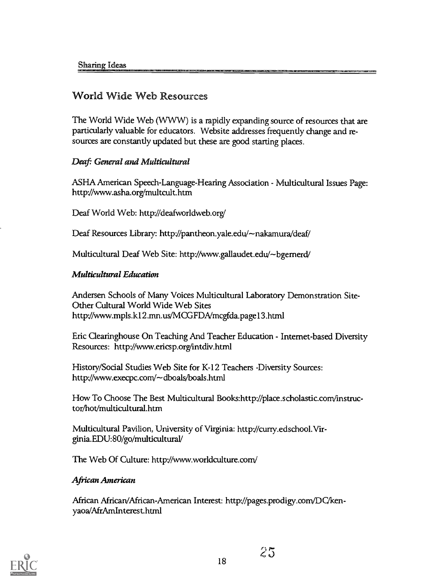### World Wide Web Resources

The World Wide Web (WWW) is a rapidly expanding source of resources that are particularly valuable for educators. Website addresses frequently change and resources are constantly updated but these are good starting places.

### Deaf: General and Multicultural

ASHA American Speech-Language-Hearing Association - Multicultural Issues Page: http://www.asha.org/multcult.htm

Deaf World Web: http://deafworldweb.org/

Deaf Resources Library: http://pantheon.yale.edu/~nakamura/deaf/

Multicultural Deaf Web Site: http://www.gallaudet.edu/~bgernerd/

### Multicultural Education

Andersen Schools of Many Voices Multicultural Laboratory Demonstration Site-Other Cultural World Wide Web Sites http://www.mpls.k12.mn.us/MCGFDA/mcgfda.page13.htrn1

Eric Clearinghouse On Teaching And Teacher Education - Internet-based Diversity Resources: http://www.ericsp.org/intdiv.html

History/Social Studies Web Site for K-12 Teachers -Diversity Sources: http://www.execpc.com/~dboals/boals.html

How To Choose The Best Multicultural Books:http://place.scholasticcom/instructor/hot/multicultural.htm

Multicultural Pavilion, University of Virginia: http://curry.edschool.Virginia. EDU: 80 /go /multicultural/

The Web Of Culture: http://www.worldculture.com/

### African American

African African/African-American Interest: http://pages.prodigy.corn/DC/kenyaoa/AfrAmInterest.html



 $25$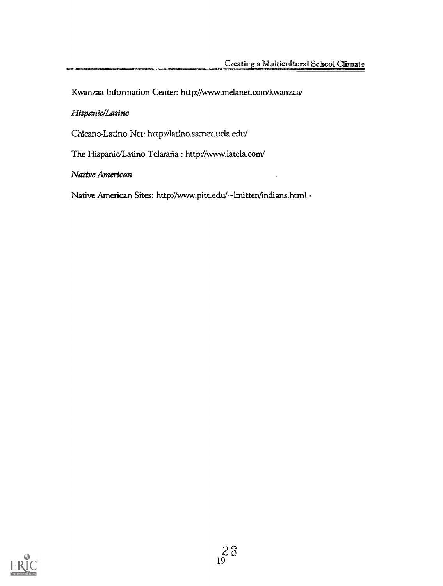Kwanzaa Information Center: http://www.melanet.com/kwanzaa/

### Hispanic/Latino

Chicano-Latino Net: http://latino.sscnet.ucla.edu/

The Hispanic/Latino Telaraña : http://www.latela.com/

Native American

Native American Sites: http://www.pitt.edu/~lmitten/indians.html -

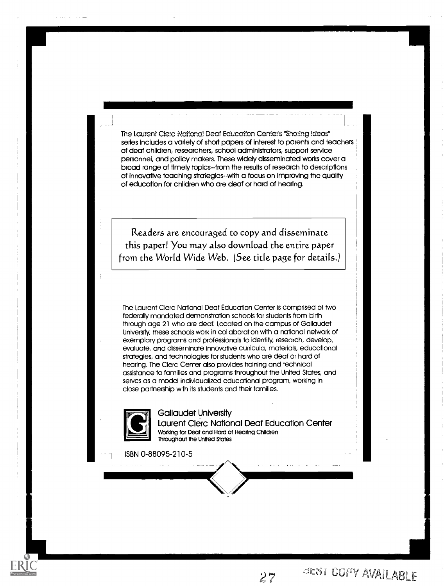The Laurent Clerc National Deaf Education Center's "Sharing Ideas" series includes a variety of short papers of interest to parents and teachers of deaf children, researchers, school administrators, support service personnel, and policy makers. These widely disseminated works cover a broad range of timely topics--from the results of research to descriptions of innovative teaching strategies -with a focus on improving the quality of education for children who are deaf or hard of hearing.

Readers are encouraged to copy and disseminate this paper! You may also download the entire paper from the World Wide Web. (See title page for details.)

The Laurent Clerc National Deaf Education Center is comprised of two federally mandated demonstration schools for students from birth through age 21 who are deaf. Located on the campus of Gallaudet University, these schools work in collaboration with a national network of exemplary programs and professionals to identify, research, develop, evaluate, and disseminate innovative curricula, materials, educational strategies, and technologies for students who are deaf or hard of hearing. The Clerc Center also provides training and technical assistance to families and programs throughout the United States, and serves as a model Individualized educational program, working in close partnership with its students and their families.



l a serie de

Gallaudet University Laurent Clerc National Deaf Education Center Working for Deaf and Hard of Hearing Children Throughout the United States

ISBN 0-88095-210-5